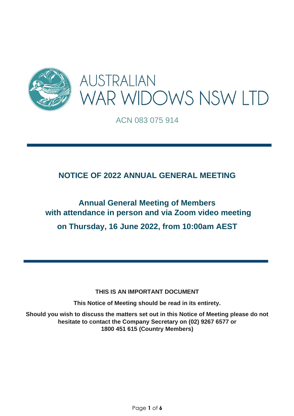

ACN 083 075 914

### **NOTICE OF 2022 ANNUAL GENERAL MEETING**

# **Annual General Meeting of Members with attendance in person and via Zoom video meeting on Thursday, 16 June 2022, from 10:00am AEST**

**THIS IS AN IMPORTANT DOCUMENT** 

**This Notice of Meeting should be read in its entirety.** 

**Should you wish to discuss the matters set out in this Notice of Meeting please do not hesitate to contact the Company Secretary on (02) 9267 6577 or 1800 451 615 (Country Members)**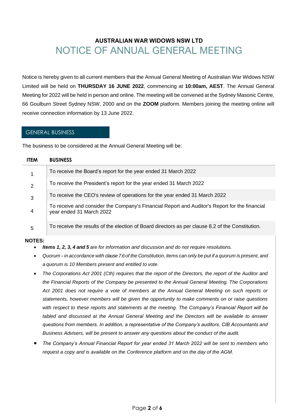## **AUSTRALIAN WAR WIDOWS NSW LTD** NOTICE OF ANNUAL GENERAL MEETING

Notice is hereby given to all current members that the Annual General Meeting of Australian War Widows NSW Limited will be held on **THURSDAY 16 JUNE 2022**, commencing at **10:00am, AEST**. The Annual General Meeting for 2022 will be held in person and online. The meeting will be convened at the Sydney Masonic Centre, 66 Goulburn Street Sydney NSW, 2000 and on the **ZOOM** platform. Members joining the meeting online will receive connection information by 13 June 2022.

#### GENERAL BUSINESS

The business to be considered at the Annual General Meeting will be:

| <b>ITEM</b>    | <b>BUSINESS</b>                                                                                                           |
|----------------|---------------------------------------------------------------------------------------------------------------------------|
|                | To receive the Board's report for the year ended 31 March 2022                                                            |
| $\overline{2}$ | To receive the President's report for the year ended 31 March 2022                                                        |
| 3              | To receive the CEO's review of operations for the year ended 31 March 2022                                                |
| 4              | To receive and consider the Company's Financial Report and Auditor's Report for the financial<br>year ended 31 March 2022 |
| 5              | To receive the results of the election of Board directors as per clause 8.2 of the Constitution.                          |

#### **NOTES:**

- *Items 1, 2, 3, 4 and 5 are for information and discussion and do not require resolutions.*
- Quorum in accordance with clause 7.6 of the Constitution, items can only be put if a quorum is present, and *a quorum is 10 Members present and entitled to vote.*
- *The Corporations Act 2001 (Cth) requires that the report of the Directors, the report of the Auditor and the Financial Reports of the Company be presented to the Annual General Meeting. The Corporations Act 2001 does not require a vote of members at the Annual General Meeting on such reports or statements, however members will be given the opportunity to make comments on or raise questions with respect to these reports and statements at the meeting. The Company's Financial Report will be*  tabled and discussed at the Annual General Meeting and the Directors will be available to answer *questions from members. In addition, a representative of the Company's auditors, CIB Accountants and Business Advisers, will be present to answer any questions about the conduct of the audit.*
- *The Company's Annual Financial Report for year ended 31 March 2022 will be sent to members who request a copy and is available on the Conference platform and on the day of the AGM.*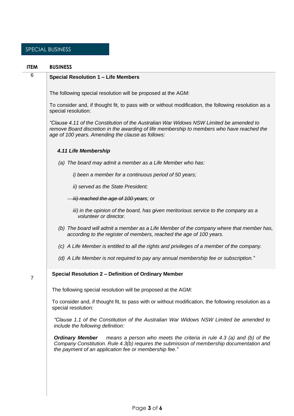### SPECIAL BUSINESS

| <b>ITEM</b> | <b>BUSINESS</b>                                                                                                                                                                                                                                      |
|-------------|------------------------------------------------------------------------------------------------------------------------------------------------------------------------------------------------------------------------------------------------------|
| 6           | <b>Special Resolution 1 - Life Members</b>                                                                                                                                                                                                           |
|             | The following special resolution will be proposed at the AGM:                                                                                                                                                                                        |
|             | To consider and, if thought fit, to pass with or without modification, the following resolution as a<br>special resolution:                                                                                                                          |
|             | "Clause 4.11 of the Constitution of the Australian War Widows NSW Limited be amended to<br>remove Board discretion in the awarding of life membership to members who have reached the<br>age of 100 years. Amending the clause as follows:           |
|             | 4.11 Life Membership                                                                                                                                                                                                                                 |
|             | (a) The board may admit a member as a Life Member who has:                                                                                                                                                                                           |
|             | i) been a member for a continuous period of 50 years;                                                                                                                                                                                                |
|             | ii) served as the State President;                                                                                                                                                                                                                   |
|             | iii) reached the age of 100 years; or                                                                                                                                                                                                                |
|             | iii) in the opinion of the board, has given meritorious service to the company as a<br>volunteer or director.                                                                                                                                        |
|             | (b) The board will admit a member as a Life Member of the company where that member has,<br>according to the register of members, reached the age of 100 years.                                                                                      |
|             | (c) A Life Member is entitled to all the rights and privileges of a member of the company.                                                                                                                                                           |
|             | (d) A Life Member is not required to pay any annual membership fee or subscription."                                                                                                                                                                 |
| 7           | Special Resolution 2 - Definition of Ordinary Member                                                                                                                                                                                                 |
|             | The following special resolution will be proposed at the AGM:                                                                                                                                                                                        |
|             | To consider and, if thought fit, to pass with or without modification, the following resolution as a<br>special resolution:                                                                                                                          |
|             | "Clause 1.1 of the Constitution of the Australian War Widows NSW Limited be amended to<br>include the following definition:                                                                                                                          |
|             | <b>Ordinary Member</b><br>means a person who meets the criteria in rule 4.3 (a) and (b) of the<br>Company Constitution. Rule 4.3(b) requires the submission of membership documentation and<br>the payment of an application fee or membership fee." |
|             |                                                                                                                                                                                                                                                      |
|             |                                                                                                                                                                                                                                                      |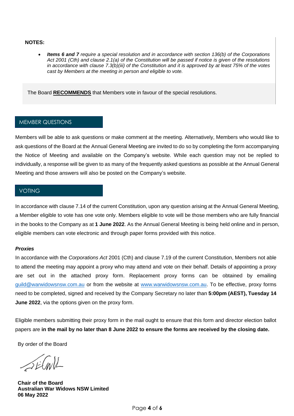#### **NOTES:**

• *Items 6 and 7 require a special resolution and in accordance with section 136(b) of the Corporations Act 2001 (Cth) and clause 2.1(a) of the Constitution will be passed if notice is given of the resolutions in accordance with clause 7.3(b)(iii) of the Constitution and it is approved by at least 75% of the votes cast by Members at the meeting in person and eligible to vote.*

The Board **RECOMMENDS** that Members vote in favour of the special resolutions.

#### MEMBER QUESTIONS

Members will be able to ask questions or make comment at the meeting. Alternatively, Members who would like to ask questions of the Board at the Annual General Meeting are invited to do so by completing the form accompanying the Notice of Meeting and available on the Company's website. While each question may not be replied to individually, a response will be given to as many of the frequently asked questions as possible at the Annual General Meeting and those answers will also be posted on the Company's website.

#### VOTING

In accordance with clause 7.14 of the current Constitution, upon any question arising at the Annual General Meeting, a Member eligible to vote has one vote only. Members eligible to vote will be those members who are fully financial in the books to the Company as at **1 June 2022**. As the Annual General Meeting is being held online and in person, eligible members can vote electronic and through paper forms provided with this notice.

#### *Proxies*

In accordance with the *Corporations Act* 2001 (Cth) and clause 7.19 of the current Constitution, Members not able to attend the meeting may appoint a proxy who may attend and vote on their behalf. Details of appointing a proxy are set out in the attached proxy form. Replacement proxy forms can be obtained by emailing [guild@warwidowsnsw.com.au](mailto:guild@warwidowsnsw.com.au) or from the website at [www.warwidowsnsw.com.au.](http://www.warwidowsnsw.com.au/) To be effective, proxy forms need to be completed, signed and received by the Company Secretary no later than **5:00pm (AEST), Tuesday 14 June 2022**, via the options given on the proxy form.

Eligible members submitting their proxy form in the mail ought to ensure that this form and director election ballot papers are **in the mail by no later than 8 June 2022 to ensure the forms are received by the closing date.** 

By order of the Board

SECAVIL

**Chair of the Board Australian War Widows NSW Limited 06 May 2022**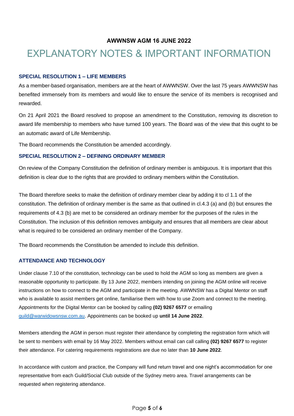#### **AWWNSW AGM 16 JUNE 2022**

# EXPLANATORY NOTES & IMPORTANT INFORMATION

#### **SPECIAL RESOLUTION 1 – LIFE MEMBERS**

As a member-based organisation, members are at the heart of AWWNSW. Over the last 75 years AWWNSW has benefited immensely from its members and would like to ensure the service of its members is recognised and rewarded.

On 21 April 2021 the Board resolved to propose an amendment to the Constitution, removing its discretion to award life membership to members who have turned 100 years. The Board was of the view that this ought to be an automatic award of Life Membership.

The Board recommends the Constitution be amended accordingly.

#### **SPECIAL RESOLUTION 2 – DEFINING ORDINARY MEMBER**

On review of the Company Constitution the definition of ordinary member is ambiguous. It is important that this definition is clear due to the rights that are provided to ordinary members within the Constitution.

The Board therefore seeks to make the definition of ordinary member clear by adding it to cl 1.1 of the constitution. The definition of ordinary member is the same as that outlined in cl.4.3 (a) and (b) but ensures the requirements of 4.3 (b) are met to be considered an ordinary member for the purposes of the rules in the Constitution. The inclusion of this definition removes ambiguity and ensures that all members are clear about what is required to be considered an ordinary member of the Company.

The Board recommends the Constitution be amended to include this definition.

#### **ATTENDANCE AND TECHNOLOGY**

Under clause 7.10 of the constitution, technology can be used to hold the AGM so long as members are given a reasonable opportunity to participate. By 13 June 2022, members intending on joining the AGM online will receive instructions on how to connect to the AGM and participate in the meeting. AWWNSW has a Digital Mentor on staff who is available to assist members get online, familiarise them with how to use Zoom and connect to the meeting. Appointments for the Digital Mentor can be booked by calling **(02) 9267 6577** or emailing [guild@warwidowsnsw.com.au.](mailto:guild@warwidowsnsw.com.au) Appointments can be booked up **until 14 June 2022**.

Members attending the AGM in person must register their attendance by completing the registration form which will be sent to members with email by 16 May 2022. Members without email can call calling **(02) 9267 6577** to register their attendance. For catering requirements registrations are due no later than **10 June 2022**.

In accordance with custom and practice, the Company will fund return travel and one night's accommodation for one representative from each Guild/Social Club outside of the Sydney metro area. Travel arrangements can be requested when registering attendance.